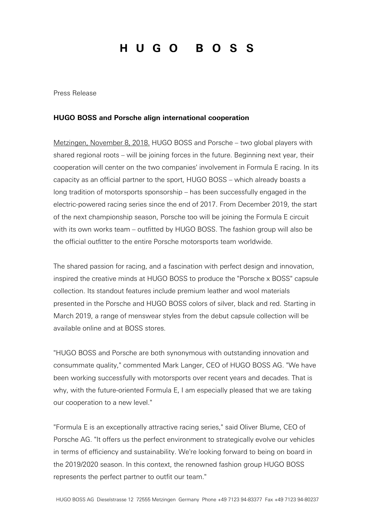## HUGO BOSS

Press Release

## **HUGO BOSS and Porsche align international cooperation**

Metzingen, November 8, 2018. HUGO BOSS and Porsche – two global players with shared regional roots – will be joining forces in the future. Beginning next year, their cooperation will center on the two companies' involvement in Formula E racing. In its capacity as an official partner to the sport, HUGO BOSS – which already boasts a long tradition of motorsports sponsorship – has been successfully engaged in the electric-powered racing series since the end of 2017. From December 2019, the start of the next championship season, Porsche too will be joining the Formula E circuit with its own works team – outfitted by HUGO BOSS. The fashion group will also be the official outfitter to the entire Porsche motorsports team worldwide.

The shared passion for racing, and a fascination with perfect design and innovation, inspired the creative minds at HUGO BOSS to produce the "Porsche x BOSS" capsule collection. Its standout features include premium leather and wool materials presented in the Porsche and HUGO BOSS colors of silver, black and red. Starting in March 2019, a range of menswear styles from the debut capsule collection will be available online and at BOSS stores.

"HUGO BOSS and Porsche are both synonymous with outstanding innovation and consummate quality," commented Mark Langer, CEO of HUGO BOSS AG. "We have been working successfully with motorsports over recent years and decades. That is why, with the future-oriented Formula E, I am especially pleased that we are taking our cooperation to a new level."

"Formula E is an exceptionally attractive racing series," said Oliver Blume, CEO of Porsche AG. "It offers us the perfect environment to strategically evolve our vehicles in terms of efficiency and sustainability. We're looking forward to being on board in the 2019/2020 season. In this context, the renowned fashion group HUGO BOSS represents the perfect partner to outfit our team."